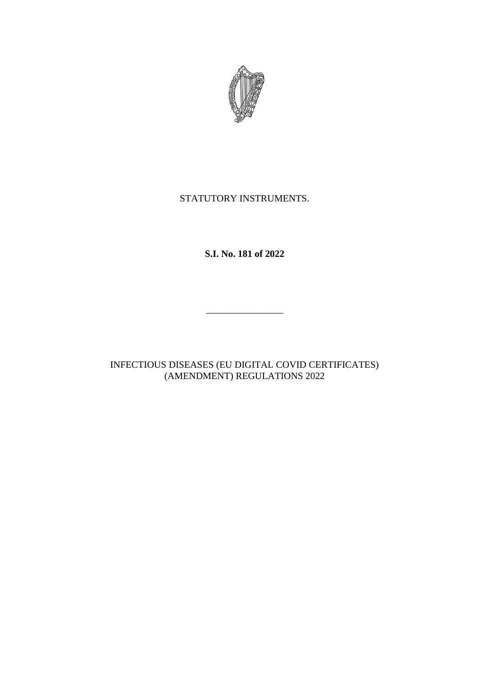

# STATUTORY INSTRUMENTS.

**S.I. No. 181 of 2022**

INFECTIOUS DISEASES (EU DIGITAL COVID CERTIFICATES) (AMENDMENT) REGULATIONS 2022

\_\_\_\_\_\_\_\_\_\_\_\_\_\_\_\_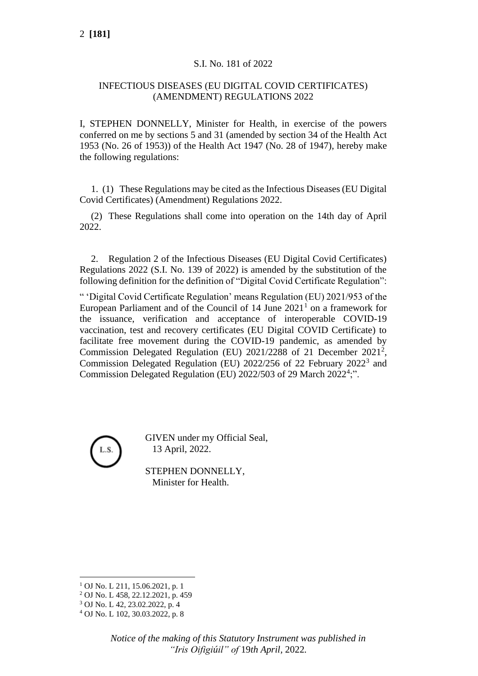## S.I. No. 181 of 2022

# INFECTIOUS DISEASES (EU DIGITAL COVID CERTIFICATES) (AMENDMENT) REGULATIONS 2022

I, STEPHEN DONNELLY, Minister for Health, in exercise of the powers conferred on me by sections 5 and 31 (amended by section 34 of the Health Act 1953 (No. 26 of 1953)) of the Health Act 1947 (No. 28 of 1947), hereby make the following regulations:

1. (1) These Regulations may be cited as the Infectious Diseases (EU Digital Covid Certificates) (Amendment) Regulations 2022.

(2) These Regulations shall come into operation on the 14th day of April 2022.

2. Regulation 2 of the Infectious Diseases (EU Digital Covid Certificates) Regulations 2022 (S.I. No. 139 of 2022) is amended by the substitution of the following definition for the definition of "Digital Covid Certificate Regulation":

" 'Digital Covid Certificate Regulation' means Regulation (EU) 2021/953 of the European Parliament and of the Council of  $14$  June  $2021<sup>1</sup>$  on a framework for the issuance, verification and acceptance of interoperable COVID-19 vaccination, test and recovery certificates (EU Digital COVID Certificate) to facilitate free movement during the COVID-19 pandemic, as amended by Commission Delegated Regulation (EU) 2021/2288 of 21 December 2021<sup>2</sup>, Commission Delegated Regulation (EU)  $2022/256$  of 22 February  $2022<sup>3</sup>$  and Commission Delegated Regulation (EU) 2022/503 of 29 March 2022<sup>4</sup>;".



GIVEN under my Official Seal, 13 April, 2022.

STEPHEN DONNELLY, Minister for Health.

<sup>1</sup> OJ No. L 211, 15.06.2021, p. 1

<sup>2</sup> OJ No. L 458, 22.12.2021, p. 459

<sup>3</sup> OJ No. L 42, 23.02.2022, p. 4

<sup>4</sup> OJ No. L 102, 30.03.2022, p. 8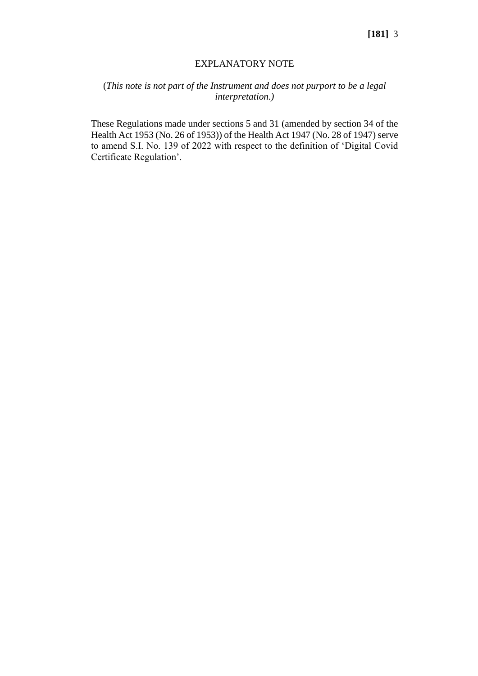#### EXPLANATORY NOTE

## (*This note is not part of the Instrument and does not purport to be a legal interpretation.)*

These Regulations made under sections 5 and 31 (amended by section 34 of the Health Act 1953 (No. 26 of 1953)) of the Health Act 1947 (No. 28 of 1947) serve to amend S.I. No. 139 of 2022 with respect to the definition of 'Digital Covid Certificate Regulation'.